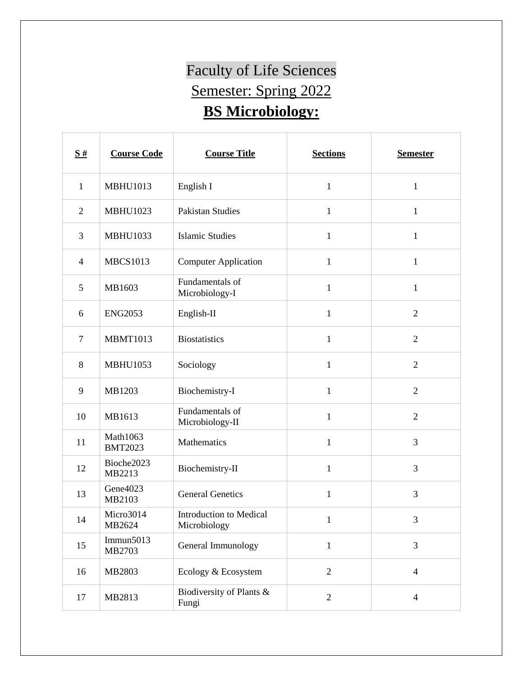## Faculty of Life Sciences Semester: Spring 2022 **BS Microbiology:**

| S#             | <b>Course Code</b>         | <b>Course Title</b>                     | <b>Sections</b> | <b>Semester</b> |
|----------------|----------------------------|-----------------------------------------|-----------------|-----------------|
| $\mathbf{1}$   | <b>MBHU1013</b>            | English I                               | $\mathbf{1}$    | $\mathbf{1}$    |
| $\overline{2}$ | <b>MBHU1023</b>            | <b>Pakistan Studies</b>                 | $\mathbf{1}$    | $\mathbf{1}$    |
| 3              | <b>MBHU1033</b>            | <b>Islamic Studies</b>                  | $\mathbf{1}$    | $\mathbf{1}$    |
| $\overline{4}$ | <b>MBCS1013</b>            | <b>Computer Application</b>             | $\mathbf{1}$    | $\mathbf{1}$    |
| 5              | MB1603                     | Fundamentals of<br>Microbiology-I       | $\mathbf{1}$    | $\mathbf{1}$    |
| 6              | <b>ENG2053</b>             | English-II                              | $\mathbf{1}$    | $\overline{2}$  |
| $\overline{7}$ | <b>MBMT1013</b>            | <b>Biostatistics</b>                    | $\mathbf{1}$    | $\overline{2}$  |
| 8              | <b>MBHU1053</b>            | Sociology                               | $\mathbf{1}$    | $\overline{2}$  |
| 9              | MB1203                     | Biochemistry-I                          | $\mathbf{1}$    | $\overline{2}$  |
| 10             | MB1613                     | Fundamentals of<br>Microbiology-II      | $\mathbf{1}$    | $\overline{2}$  |
| 11             | Math1063<br><b>BMT2023</b> | Mathematics                             | $\mathbf{1}$    | 3               |
| 12             | Bioche2023<br>MB2213       | Biochemistry-II                         | $\mathbf{1}$    | 3               |
| 13             | Gene4023<br>MB2103         | <b>General Genetics</b>                 | $\mathbf{1}$    | $\mathfrak{Z}$  |
| 14             | Micro3014<br>MB2624        | Introduction to Medical<br>Microbiology | 1               | 3               |
| 15             | Immun $5013$<br>MB2703     | General Immunology                      | $\mathbf{1}$    | 3               |
| 16             | MB2803                     | Ecology & Ecosystem                     | $\overline{2}$  | $\overline{4}$  |
| 17             | MB2813                     | Biodiversity of Plants &<br>Fungi       | $\overline{2}$  | $\overline{4}$  |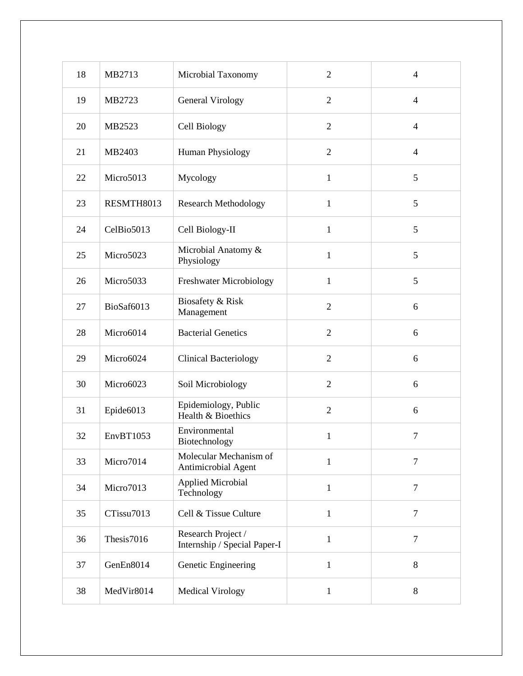| 18 | MB2713     | Microbial Taxonomy                                 | $\overline{2}$ | $\overline{\mathcal{L}}$ |
|----|------------|----------------------------------------------------|----------------|--------------------------|
| 19 | MB2723     | <b>General Virology</b>                            | $\overline{2}$ | $\overline{4}$           |
| 20 | MB2523     | Cell Biology                                       | $\overline{2}$ | $\overline{4}$           |
| 21 | MB2403     | <b>Human Physiology</b>                            | $\overline{2}$ | $\overline{\mathcal{L}}$ |
| 22 | Micro5013  | Mycology                                           | $\mathbf{1}$   | 5                        |
| 23 | RESMTH8013 | <b>Research Methodology</b>                        | $\mathbf{1}$   | 5                        |
| 24 | CelBio5013 | Cell Biology-II                                    | $\mathbf{1}$   | 5                        |
| 25 | Micro5023  | Microbial Anatomy &<br>Physiology                  | $\mathbf{1}$   | 5                        |
| 26 | Micro5033  | Freshwater Microbiology                            | $\mathbf{1}$   | 5                        |
| 27 | BioSaf6013 | Biosafety & Risk<br>Management                     | $\overline{2}$ | 6                        |
| 28 | Micro6014  | <b>Bacterial Genetics</b>                          | $\overline{2}$ | 6                        |
| 29 | Micro6024  | <b>Clinical Bacteriology</b>                       | $\overline{2}$ | 6                        |
| 30 | Micro6023  | Soil Microbiology                                  | $\overline{2}$ | 6                        |
| 31 | Epide6013  | Epidemiology, Public<br>Health & Bioethics         | $\overline{2}$ | 6                        |
| 32 | EnvBT1053  | Environmental<br>Biotechnology                     | $\mathbf{1}$   | $\overline{7}$           |
| 33 | Micro7014  | Molecular Mechanism of<br>Antimicrobial Agent      | $\mathbf{1}$   | 7                        |
| 34 | Micro7013  | <b>Applied Microbial</b><br>Technology             | $\mathbf{1}$   | 7                        |
| 35 | CTissu7013 | Cell & Tissue Culture                              | $\mathbf{1}$   | $\overline{7}$           |
| 36 | Thesis7016 | Research Project /<br>Internship / Special Paper-I | $\mathbf{1}$   | $\overline{7}$           |
| 37 | GenEn8014  | Genetic Engineering                                | $\mathbf{1}$   | $\, 8$                   |
| 38 | MedVir8014 | <b>Medical Virology</b>                            | $\mathbf{1}$   | 8                        |